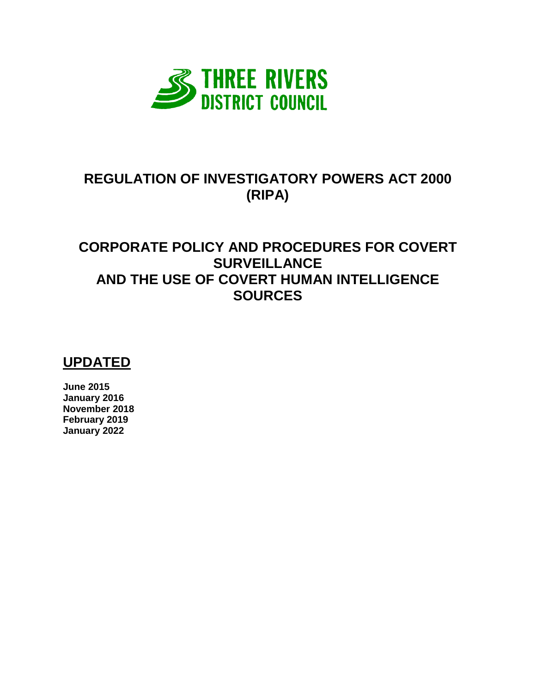

# **REGULATION OF INVESTIGATORY POWERS ACT 2000 (RIPA)**

# **CORPORATE POLICY AND PROCEDURES FOR COVERT SURVEILLANCE AND THE USE OF COVERT HUMAN INTELLIGENCE SOURCES**

# **UPDATED**

**June 2015 January 2016 November 2018 February 2019 January 2022**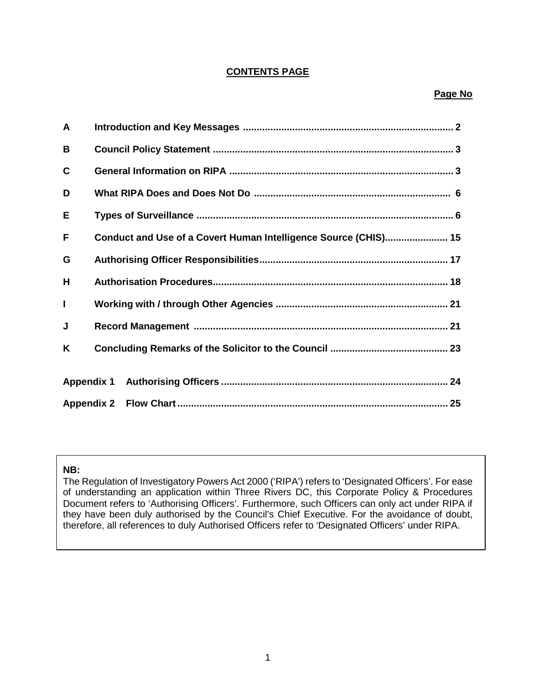# **CONTENTS PAGE**

# **Page No**

| A            |                                                                 |
|--------------|-----------------------------------------------------------------|
| B            |                                                                 |
| C            |                                                                 |
| D            |                                                                 |
| Е            |                                                                 |
| F            | Conduct and Use of a Covert Human Intelligence Source (CHIS) 15 |
| G            |                                                                 |
| н            |                                                                 |
| $\mathbf{I}$ |                                                                 |
| J            |                                                                 |
| K            |                                                                 |
|              |                                                                 |
|              |                                                                 |
|              |                                                                 |

## **NB:**

The Regulation of Investigatory Powers Act 2000 ('RIPA') refers to 'Designated Officers'. For ease of understanding an application within Three Rivers DC, this Corporate Policy & Procedures Document refers to 'Authorising Officers'. Furthermore, such Officers can only act under RIPA if they have been duly authorised by the Council's Chief Executive. For the avoidance of doubt, therefore, all references to duly Authorised Officers refer to 'Designated Officers' under RIPA.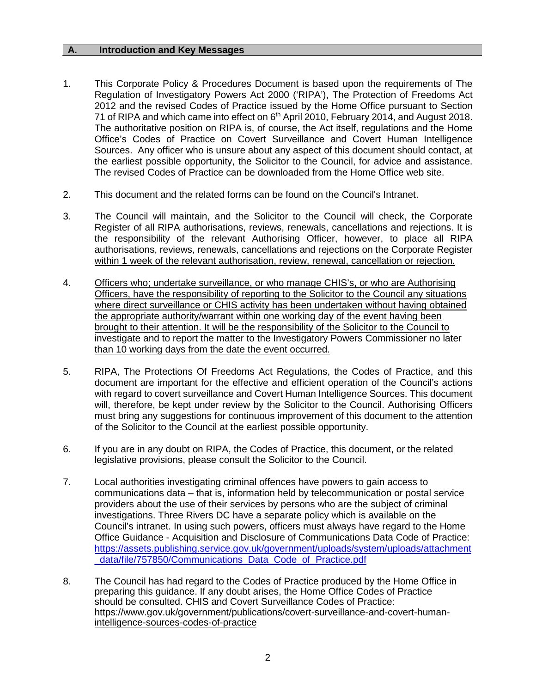#### **A. Introduction and Key Messages**

- 1. This Corporate Policy & Procedures Document is based upon the requirements of The Regulation of Investigatory Powers Act 2000 ('RIPA'), The Protection of Freedoms Act 2012 and the revised Codes of Practice issued by the Home Office pursuant to Section 71 of RIPA and which came into effect on  $6<sup>th</sup>$  April 2010, February 2014, and August 2018. The authoritative position on RIPA is, of course, the Act itself, regulations and the Home Office's Codes of Practice on Covert Surveillance and Covert Human Intelligence Sources. Any officer who is unsure about any aspect of this document should contact, at the earliest possible opportunity, the Solicitor to the Council, for advice and assistance. The revised Codes of Practice can be downloaded from the Home Office web site.
- 2. This document and the related forms can be found on the Council's Intranet.
- 3. The Council will maintain, and the Solicitor to the Council will check, the Corporate Register of all RIPA authorisations, reviews, renewals, cancellations and rejections. It is the responsibility of the relevant Authorising Officer, however, to place all RIPA authorisations, reviews, renewals, cancellations and rejections on the Corporate Register within 1 week of the relevant authorisation, review, renewal, cancellation or rejection.
- 4. Officers who; undertake surveillance, or who manage CHIS's, or who are Authorising Officers, have the responsibility of reporting to the Solicitor to the Council any situations where direct surveillance or CHIS activity has been undertaken without having obtained the appropriate authority/warrant within one working day of the event having been brought to their attention. It will be the responsibility of the Solicitor to the Council to investigate and to report the matter to the Investigatory Powers Commissioner no later than 10 working days from the date the event occurred.
- 5. RIPA, The Protections Of Freedoms Act Regulations, the Codes of Practice, and this document are important for the effective and efficient operation of the Council's actions with regard to covert surveillance and Covert Human Intelligence Sources. This document will, therefore, be kept under review by the Solicitor to the Council. Authorising Officers must bring any suggestions for continuous improvement of this document to the attention of the Solicitor to the Council at the earliest possible opportunity.
- 6. If you are in any doubt on RIPA, the Codes of Practice, this document, or the related legislative provisions, please consult the Solicitor to the Council.
- 7. Local authorities investigating criminal offences have powers to gain access to communications data – that is, information held by telecommunication or postal service providers about the use of their services by persons who are the subject of criminal investigations. Three Rivers DC have a separate policy which is available on the Council's intranet. In using such powers, officers must always have regard to the Home Office Guidance - Acquisition and Disclosure of Communications Data Code of Practice: [https://assets.publishing.service.gov.uk/government/uploads/system/uploads/attachment](https://assets.publishing.service.gov.uk/government/uploads/system/uploads/attachment_data/file/757850/Communications_Data_Code_of_Practice.pdf) [\\_data/file/757850/Communications\\_Data\\_Code\\_of\\_Practice.pdf](https://assets.publishing.service.gov.uk/government/uploads/system/uploads/attachment_data/file/757850/Communications_Data_Code_of_Practice.pdf)
- 8. The Council has had regard to the Codes of Practice produced by the Home Office in preparing this guidance. If any doubt arises, the Home Office Codes of Practice should be consulted. CHIS and Covert Surveillance Codes of Practice: [https://www.gov.uk/government/publications/covert-surveillance-and-covert-human](https://www.gov.uk/government/publications/covert-surveillance-and-covert-human-intelligence-sources-codes-of-practice)[intelligence-sources-codes-of-practice](https://www.gov.uk/government/publications/covert-surveillance-and-covert-human-intelligence-sources-codes-of-practice)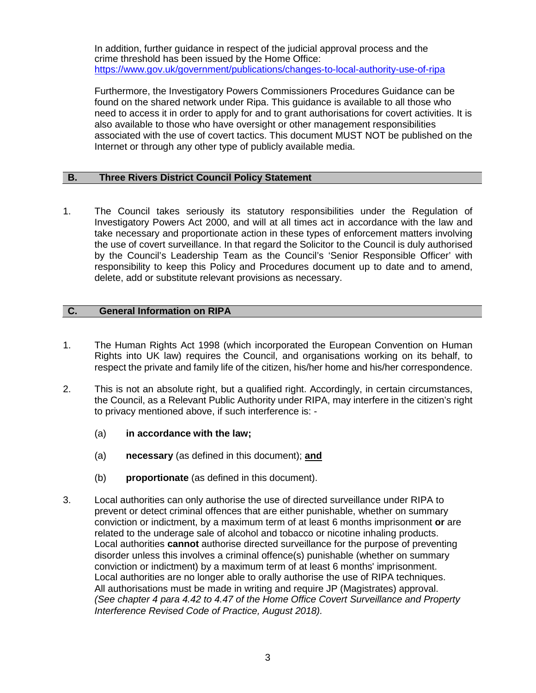In addition, further guidance in respect of the judicial approval process and the crime threshold has been issued by the Home Office: <https://www.gov.uk/government/publications/changes-to-local-authority-use-of-ripa>

Furthermore, the Investigatory Powers Commissioners Procedures Guidance can be found on the shared network under Ripa. This guidance is available to all those who need to access it in order to apply for and to grant authorisations for covert activities. It is also available to those who have oversight or other management responsibilities associated with the use of covert tactics. This document MUST NOT be published on the Internet or through any other type of publicly available media.

## **B. Three Rivers District Council Policy Statement**

1. The Council takes seriously its statutory responsibilities under the Regulation of Investigatory Powers Act 2000, and will at all times act in accordance with the law and take necessary and proportionate action in these types of enforcement matters involving the use of covert surveillance. In that regard the Solicitor to the Council is duly authorised by the Council's Leadership Team as the Council's 'Senior Responsible Officer' with responsibility to keep this Policy and Procedures document up to date and to amend, delete, add or substitute relevant provisions as necessary.

## **C. General Information on RIPA**

- 1. The Human Rights Act 1998 (which incorporated the European Convention on Human Rights into UK law) requires the Council, and organisations working on its behalf, to respect the private and family life of the citizen, his/her home and his/her correspondence.
- 2. This is not an absolute right, but a qualified right. Accordingly, in certain circumstances, the Council, as a Relevant Public Authority under RIPA, may interfere in the citizen's right to privacy mentioned above, if such interference is: -
	- (a) **in accordance with the law;**
	- (a) **necessary** (as defined in this document); **and**
	- (b) **proportionate** (as defined in this document).
- 3. Local authorities can only authorise the use of directed surveillance under RIPA to prevent or detect criminal offences that are either punishable, whether on summary conviction or indictment, by a maximum term of at least 6 months imprisonment **or** are related to the underage sale of alcohol and tobacco or nicotine inhaling products. Local authorities **cannot** authorise directed surveillance for the purpose of preventing disorder unless this involves a criminal offence(s) punishable (whether on summary conviction or indictment) by a maximum term of at least 6 months' imprisonment. Local authorities are no longer able to orally authorise the use of RIPA techniques. All authorisations must be made in writing and require JP (Magistrates) approval. *(See chapter 4 para 4.42 to 4.47 of the Home Office Covert Surveillance and Property Interference Revised Code of Practice, August 2018).*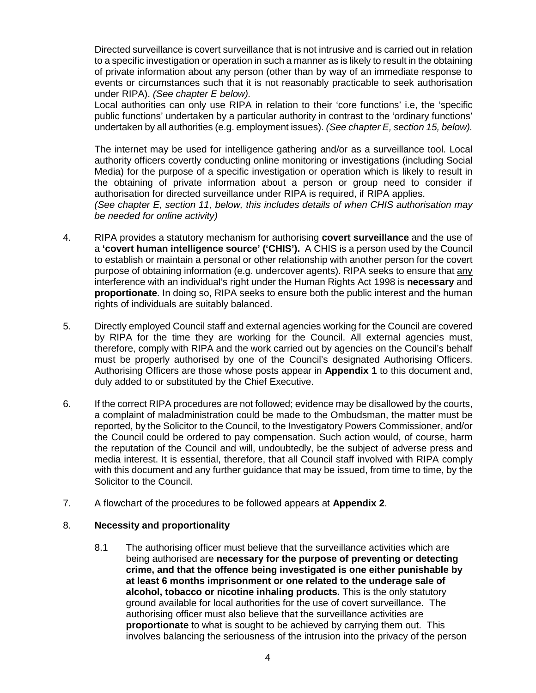Directed surveillance is covert surveillance that is not intrusive and is carried out in relation to a specific investigation or operation in such a manner as is likely to result in the obtaining of private information about any person (other than by way of an immediate response to events or circumstances such that it is not reasonably practicable to seek authorisation under RIPA). *(See chapter E below).*

Local authorities can only use RIPA in relation to their 'core functions' i.e, the 'specific public functions' undertaken by a particular authority in contrast to the 'ordinary functions' undertaken by all authorities (e.g. employment issues). *(See chapter E, section 15, below).*

The internet may be used for intelligence gathering and/or as a surveillance tool. Local authority officers covertly conducting online monitoring or investigations (including Social Media) for the purpose of a specific investigation or operation which is likely to result in the obtaining of private information about a person or group need to consider if authorisation for directed surveillance under RIPA is required, if RIPA applies. *(See chapter E, section 11, below, this includes details of when CHIS authorisation may be needed for online activity)*

- 4. RIPA provides a statutory mechanism for authorising **covert surveillance** and the use of a **'covert human intelligence source' ('CHIS').** A CHIS is a person used by the Council to establish or maintain a personal or other relationship with another person for the covert purpose of obtaining information (e.g. undercover agents). RIPA seeks to ensure that any interference with an individual's right under the Human Rights Act 1998 is **necessary** and **proportionate**. In doing so, RIPA seeks to ensure both the public interest and the human rights of individuals are suitably balanced.
- 5. Directly employed Council staff and external agencies working for the Council are covered by RIPA for the time they are working for the Council. All external agencies must, therefore, comply with RIPA and the work carried out by agencies on the Council's behalf must be properly authorised by one of the Council's designated Authorising Officers. Authorising Officers are those whose posts appear in **Appendix 1** to this document and, duly added to or substituted by the Chief Executive.
- 6. If the correct RIPA procedures are not followed; evidence may be disallowed by the courts, a complaint of maladministration could be made to the Ombudsman, the matter must be reported, by the Solicitor to the Council, to the Investigatory Powers Commissioner, and/or the Council could be ordered to pay compensation. Such action would, of course, harm the reputation of the Council and will, undoubtedly, be the subject of adverse press and media interest. It is essential, therefore, that all Council staff involved with RIPA comply with this document and any further guidance that may be issued, from time to time, by the Solicitor to the Council.
- 7. A flowchart of the procedures to be followed appears at **Appendix 2**.

## 8. **Necessity and proportionality**

8.1 The authorising officer must believe that the surveillance activities which are being authorised are **necessary for the purpose of preventing or detecting crime, and that the offence being investigated is one either punishable by at least 6 months imprisonment or one related to the underage sale of alcohol, tobacco or nicotine inhaling products.** This is the only statutory ground available for local authorities for the use of covert surveillance. The authorising officer must also believe that the surveillance activities are **proportionate** to what is sought to be achieved by carrying them out. This involves balancing the seriousness of the intrusion into the privacy of the person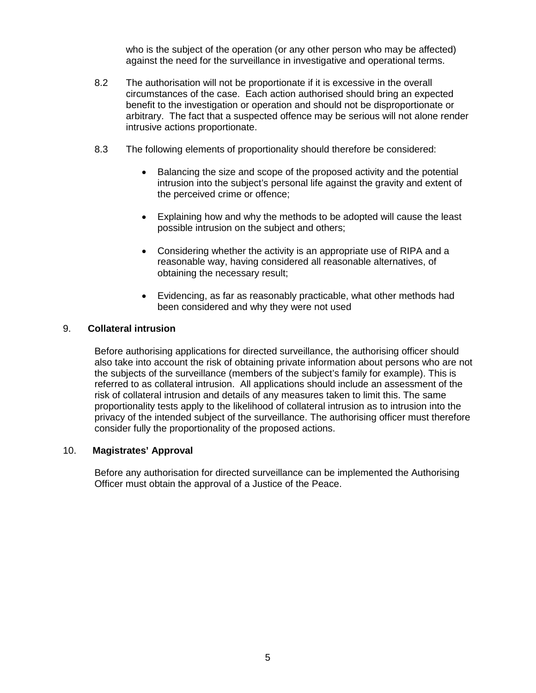who is the subject of the operation (or any other person who may be affected) against the need for the surveillance in investigative and operational terms.

- 8.2 The authorisation will not be proportionate if it is excessive in the overall circumstances of the case. Each action authorised should bring an expected benefit to the investigation or operation and should not be disproportionate or arbitrary. The fact that a suspected offence may be serious will not alone render intrusive actions proportionate.
- 8.3 The following elements of proportionality should therefore be considered:
	- Balancing the size and scope of the proposed activity and the potential intrusion into the subject's personal life against the gravity and extent of the perceived crime or offence;
	- Explaining how and why the methods to be adopted will cause the least possible intrusion on the subject and others;
	- Considering whether the activity is an appropriate use of RIPA and a reasonable way, having considered all reasonable alternatives, of obtaining the necessary result;
	- Evidencing, as far as reasonably practicable, what other methods had been considered and why they were not used

#### 9. **Collateral intrusion**

Before authorising applications for directed surveillance, the authorising officer should also take into account the risk of obtaining private information about persons who are not the subjects of the surveillance (members of the subject's family for example). This is referred to as collateral intrusion. All applications should include an assessment of the risk of collateral intrusion and details of any measures taken to limit this. The same proportionality tests apply to the likelihood of collateral intrusion as to intrusion into the privacy of the intended subject of the surveillance. The authorising officer must therefore consider fully the proportionality of the proposed actions.

#### 10. **Magistrates' Approval**

Before any authorisation for directed surveillance can be implemented the Authorising Officer must obtain the approval of a Justice of the Peace.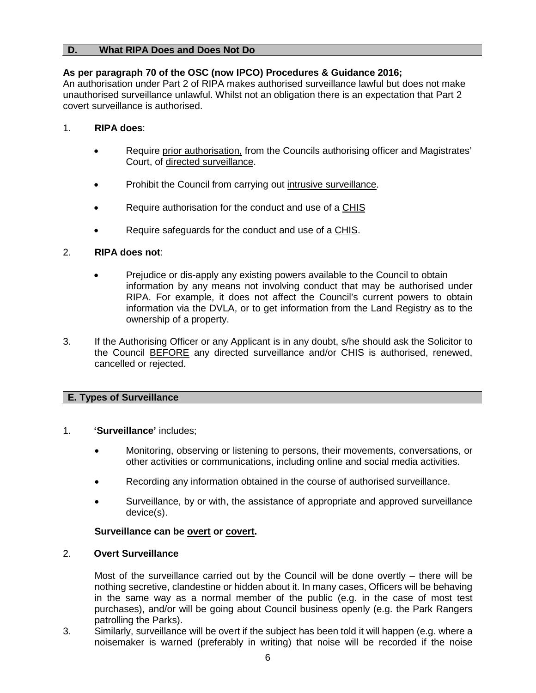#### **D. What RIPA Does and Does Not Do**

#### **As per paragraph 70 of the OSC (now IPCO) Procedures & Guidance 2016;**

An authorisation under Part 2 of RIPA makes authorised surveillance lawful but does not make unauthorised surveillance unlawful. Whilst not an obligation there is an expectation that Part 2 covert surveillance is authorised.

#### 1. **RIPA does**:

- Require prior authorisation, from the Councils authorising officer and Magistrates' Court, of directed surveillance.
- Prohibit the Council from carrying out intrusive surveillance.
- Require authorisation for the conduct and use of a CHIS
- Require safeguards for the conduct and use of a CHIS.

#### 2. **RIPA does not**:

- Prejudice or dis-apply any existing powers available to the Council to obtain information by any means not involving conduct that may be authorised under RIPA. For example, it does not affect the Council's current powers to obtain information via the DVLA, or to get information from the Land Registry as to the ownership of a property.
- 3. If the Authorising Officer or any Applicant is in any doubt, s/he should ask the Solicitor to the Council BEFORE any directed surveillance and/or CHIS is authorised, renewed, cancelled or rejected.

#### **E. Types of Surveillance**

#### 1. **'Surveillance'** includes;

- Monitoring, observing or listening to persons, their movements, conversations, or other activities or communications, including online and social media activities.
- Recording any information obtained in the course of authorised surveillance.
- Surveillance, by or with, the assistance of appropriate and approved surveillance device(s).

#### **Surveillance can be overt or covert.**

#### 2. **Overt Surveillance**

Most of the surveillance carried out by the Council will be done overtly – there will be nothing secretive, clandestine or hidden about it. In many cases, Officers will be behaving in the same way as a normal member of the public (e.g. in the case of most test purchases), and/or will be going about Council business openly (e.g. the Park Rangers patrolling the Parks).

3. Similarly, surveillance will be overt if the subject has been told it will happen (e.g. where a noisemaker is warned (preferably in writing) that noise will be recorded if the noise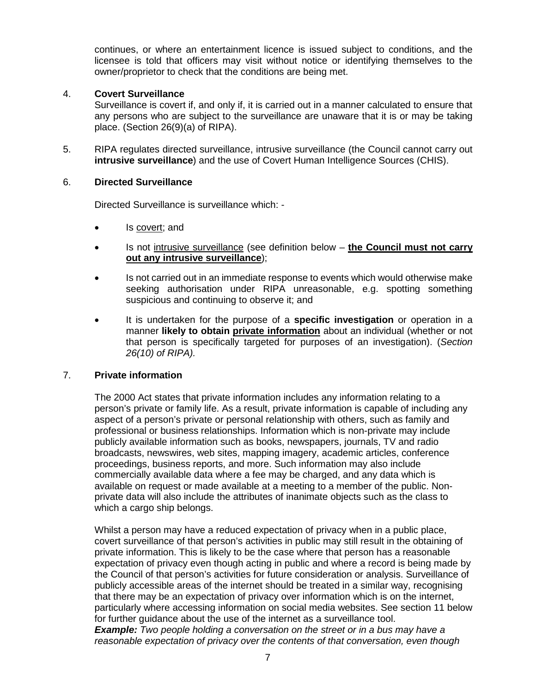continues, or where an entertainment licence is issued subject to conditions, and the licensee is told that officers may visit without notice or identifying themselves to the owner/proprietor to check that the conditions are being met.

## 4. **Covert Surveillance**

Surveillance is covert if, and only if, it is carried out in a manner calculated to ensure that any persons who are subject to the surveillance are unaware that it is or may be taking place. (Section 26(9)(a) of RIPA).

5. RIPA regulates directed surveillance, intrusive surveillance (the Council cannot carry out **intrusive surveillance**) and the use of Covert Human Intelligence Sources (CHIS).

#### 6. **Directed Surveillance**

Directed Surveillance is surveillance which: -

- Is covert; and
- Is not intrusive surveillance (see definition below **the Council must not carry out any intrusive surveillance**);
- Is not carried out in an immediate response to events which would otherwise make seeking authorisation under RIPA unreasonable, e.g. spotting something suspicious and continuing to observe it; and
- It is undertaken for the purpose of a **specific investigation** or operation in a manner **likely to obtain private information** about an individual (whether or not that person is specifically targeted for purposes of an investigation). (*Section 26(10) of RIPA).*

#### 7. **Private information**

The 2000 Act states that private information includes any information relating to a person's private or family life. As a result, private information is capable of including any aspect of a person's private or personal relationship with others, such as family and professional or business relationships. Information which is non-private may include publicly available information such as books, newspapers, journals, TV and radio broadcasts, newswires, web sites, mapping imagery, academic articles, conference proceedings, business reports, and more. Such information may also include commercially available data where a fee may be charged, and any data which is available on request or made available at a meeting to a member of the public. Nonprivate data will also include the attributes of inanimate objects such as the class to which a cargo ship belongs.

Whilst a person may have a reduced expectation of privacy when in a public place, covert surveillance of that person's activities in public may still result in the obtaining of private information. This is likely to be the case where that person has a reasonable expectation of privacy even though acting in public and where a record is being made by the Council of that person's activities for future consideration or analysis. Surveillance of publicly accessible areas of the internet should be treated in a similar way, recognising that there may be an expectation of privacy over information which is on the internet, particularly where accessing information on social media websites. See section 11 below for further guidance about the use of the internet as a surveillance tool. *Example: Two people holding a conversation on the street or in a bus may have a reasonable expectation of privacy over the contents of that conversation, even though*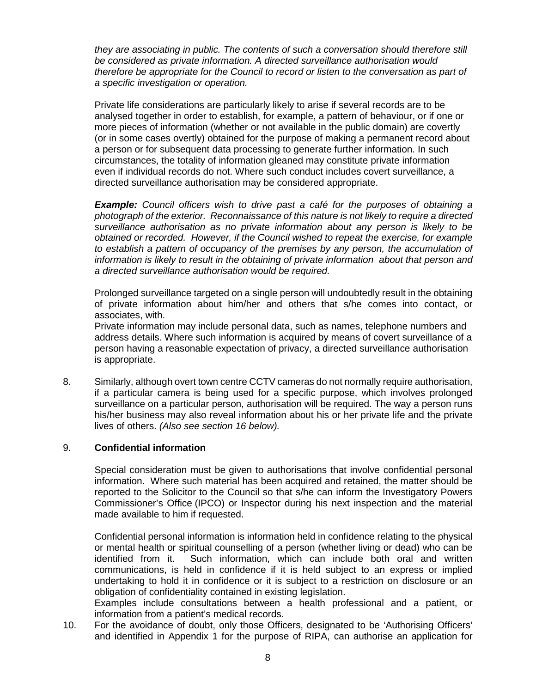*they are associating in public. The contents of such a conversation should therefore still be considered as private information. A directed surveillance authorisation would therefore be appropriate for the Council to record or listen to the conversation as part of a specific investigation or operation.*

Private life considerations are particularly likely to arise if several records are to be analysed together in order to establish, for example, a pattern of behaviour, or if one or more pieces of information (whether or not available in the public domain) are covertly (or in some cases overtly) obtained for the purpose of making a permanent record about a person or for subsequent data processing to generate further information. In such circumstances, the totality of information gleaned may constitute private information even if individual records do not. Where such conduct includes covert surveillance, a directed surveillance authorisation may be considered appropriate.

*Example: Council officers wish to drive past a café for the purposes of obtaining a photograph of the exterior. Reconnaissance of this nature is not likely to require a directed surveillance authorisation as no private information about any person is likely to be obtained or recorded. However, if the Council wished to repeat the exercise, for example to establish a pattern of occupancy of the premises by any person, the accumulation of information is likely to result in the obtaining of private information about that person and a directed surveillance authorisation would be required.* 

Prolonged surveillance targeted on a single person will undoubtedly result in the obtaining of private information about him/her and others that s/he comes into contact, or associates, with.

Private information may include personal data, such as names, telephone numbers and address details. Where such information is acquired by means of covert surveillance of a person having a reasonable expectation of privacy, a directed surveillance authorisation is appropriate.

8. Similarly, although overt town centre CCTV cameras do not normally require authorisation, if a particular camera is being used for a specific purpose, which involves prolonged surveillance on a particular person, authorisation will be required. The way a person runs his/her business may also reveal information about his or her private life and the private lives of others. *(Also see section 16 below).*

## 9. **Confidential information**

Special consideration must be given to authorisations that involve confidential personal information. Where such material has been acquired and retained, the matter should be reported to the Solicitor to the Council so that s/he can inform the Investigatory Powers Commissioner's Office (IPCO) or Inspector during his next inspection and the material made available to him if requested.

Confidential personal information is information held in confidence relating to the physical or mental health or spiritual counselling of a person (whether living or dead) who can be identified from it. Such information, which can include both oral and written communications, is held in confidence if it is held subject to an express or implied undertaking to hold it in confidence or it is subject to a restriction on disclosure or an obligation of confidentiality contained in existing legislation.

Examples include consultations between a health professional and a patient, or information from a patient's medical records.

10. For the avoidance of doubt, only those Officers, designated to be 'Authorising Officers' and identified in Appendix 1 for the purpose of RIPA, can authorise an application for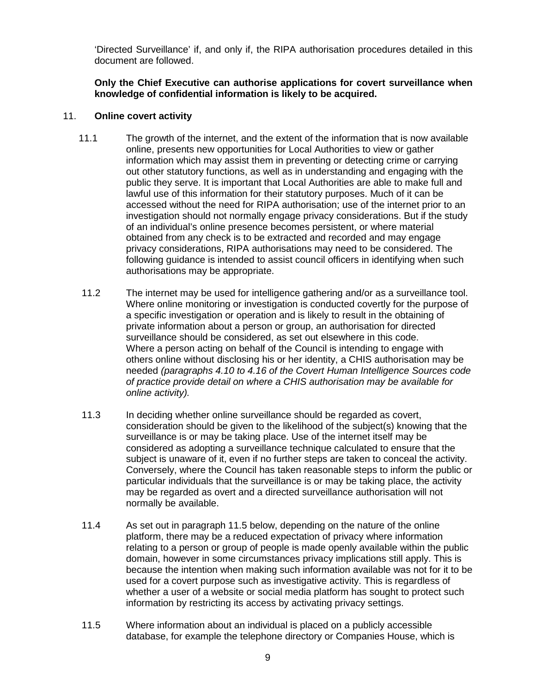'Directed Surveillance' if, and only if, the RIPA authorisation procedures detailed in this document are followed.

**Only the Chief Executive can authorise applications for covert surveillance when knowledge of confidential information is likely to be acquired.**

#### 11. **Online covert activity**

- 11.1 The growth of the internet, and the extent of the information that is now available online, presents new opportunities for Local Authorities to view or gather information which may assist them in preventing or detecting crime or carrying out other statutory functions, as well as in understanding and engaging with the public they serve. It is important that Local Authorities are able to make full and lawful use of this information for their statutory purposes. Much of it can be accessed without the need for RIPA authorisation; use of the internet prior to an investigation should not normally engage privacy considerations. But if the study of an individual's online presence becomes persistent, or where material obtained from any check is to be extracted and recorded and may engage privacy considerations, RIPA authorisations may need to be considered. The following guidance is intended to assist council officers in identifying when such authorisations may be appropriate.
- 11.2 The internet may be used for intelligence gathering and/or as a surveillance tool. Where online monitoring or investigation is conducted covertly for the purpose of a specific investigation or operation and is likely to result in the obtaining of private information about a person or group, an authorisation for directed surveillance should be considered, as set out elsewhere in this code. Where a person acting on behalf of the Council is intending to engage with others online without disclosing his or her identity, a CHIS authorisation may be needed *(paragraphs 4.10 to 4.16 of the Covert Human Intelligence Sources code of practice provide detail on where a CHIS authorisation may be available for online activity).*
- 11.3 In deciding whether online surveillance should be regarded as covert, consideration should be given to the likelihood of the subject(s) knowing that the surveillance is or may be taking place. Use of the internet itself may be considered as adopting a surveillance technique calculated to ensure that the subject is unaware of it, even if no further steps are taken to conceal the activity. Conversely, where the Council has taken reasonable steps to inform the public or particular individuals that the surveillance is or may be taking place, the activity may be regarded as overt and a directed surveillance authorisation will not normally be available.
- 11.4 As set out in paragraph 11.5 below, depending on the nature of the online platform, there may be a reduced expectation of privacy where information relating to a person or group of people is made openly available within the public domain, however in some circumstances privacy implications still apply. This is because the intention when making such information available was not for it to be used for a covert purpose such as investigative activity. This is regardless of whether a user of a website or social media platform has sought to protect such information by restricting its access by activating privacy settings.
- 11.5 Where information about an individual is placed on a publicly accessible database, for example the telephone directory or Companies House, which is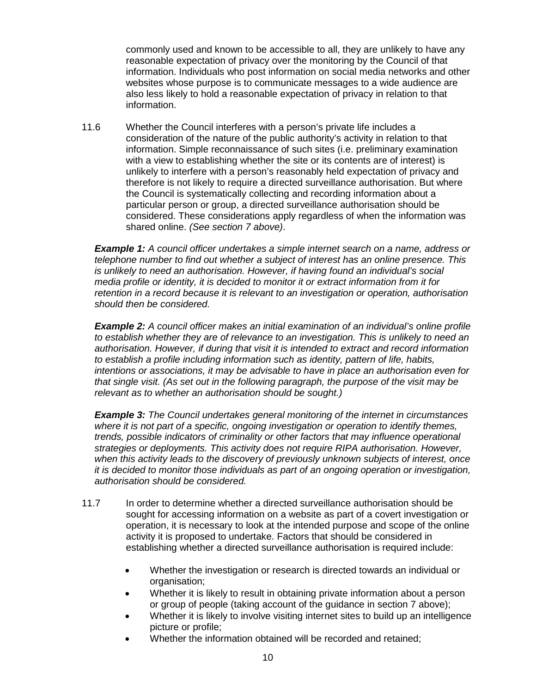commonly used and known to be accessible to all, they are unlikely to have any reasonable expectation of privacy over the monitoring by the Council of that information. Individuals who post information on social media networks and other websites whose purpose is to communicate messages to a wide audience are also less likely to hold a reasonable expectation of privacy in relation to that information.

11.6 Whether the Council interferes with a person's private life includes a consideration of the nature of the public authority's activity in relation to that information. Simple reconnaissance of such sites (i.e. preliminary examination with a view to establishing whether the site or its contents are of interest) is unlikely to interfere with a person's reasonably held expectation of privacy and therefore is not likely to require a directed surveillance authorisation. But where the Council is systematically collecting and recording information about a particular person or group, a directed surveillance authorisation should be considered. These considerations apply regardless of when the information was shared online. *(See section 7 above)*.

*Example 1: A council officer undertakes a simple internet search on a name, address or telephone number to find out whether a subject of interest has an online presence. This is unlikely to need an authorisation. However, if having found an individual's social media profile or identity, it is decided to monitor it or extract information from it for retention in a record because it is relevant to an investigation or operation, authorisation should then be considered.* 

*Example 2: A council officer makes an initial examination of an individual's online profile to establish whether they are of relevance to an investigation. This is unlikely to need an authorisation. However, if during that visit it is intended to extract and record information to establish a profile including information such as identity, pattern of life, habits, intentions or associations, it may be advisable to have in place an authorisation even for that single visit. (As set out in the following paragraph, the purpose of the visit may be relevant as to whether an authorisation should be sought.)*

*Example 3: The Council undertakes general monitoring of the internet in circumstances where it is not part of a specific, ongoing investigation or operation to identify themes, trends, possible indicators of criminality or other factors that may influence operational strategies or deployments. This activity does not require RIPA authorisation. However, when this activity leads to the discovery of previously unknown subjects of interest, once it is decided to monitor those individuals as part of an ongoing operation or investigation, authorisation should be considered.*

- 11.7 In order to determine whether a directed surveillance authorisation should be sought for accessing information on a website as part of a covert investigation or operation, it is necessary to look at the intended purpose and scope of the online activity it is proposed to undertake. Factors that should be considered in establishing whether a directed surveillance authorisation is required include:
	- Whether the investigation or research is directed towards an individual or organisation;
	- Whether it is likely to result in obtaining private information about a person or group of people (taking account of the guidance in section 7 above);
	- Whether it is likely to involve visiting internet sites to build up an intelligence picture or profile;
	- Whether the information obtained will be recorded and retained;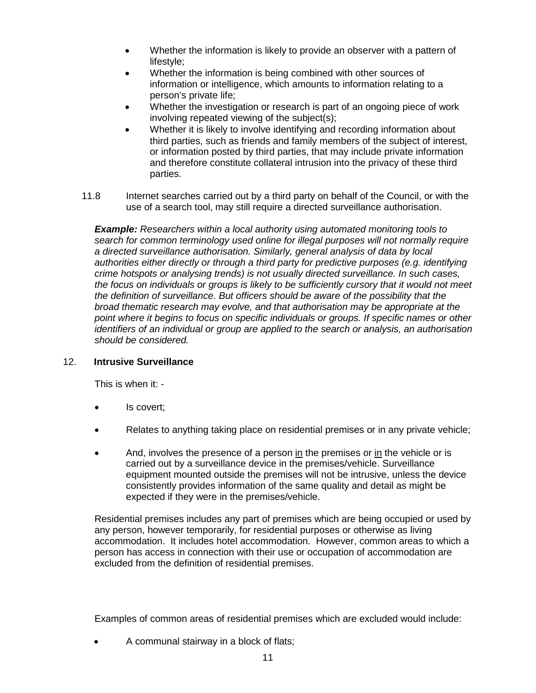- Whether the information is likely to provide an observer with a pattern of lifestyle;
- Whether the information is being combined with other sources of information or intelligence, which amounts to information relating to a person's private life;
- Whether the investigation or research is part of an ongoing piece of work involving repeated viewing of the subject(s);
- Whether it is likely to involve identifying and recording information about third parties, such as friends and family members of the subject of interest, or information posted by third parties, that may include private information and therefore constitute collateral intrusion into the privacy of these third parties.
- 11.8 Internet searches carried out by a third party on behalf of the Council, or with the use of a search tool, may still require a directed surveillance authorisation.

*Example: Researchers within a local authority using automated monitoring tools to search for common terminology used online for illegal purposes will not normally require a directed surveillance authorisation. Similarly, general analysis of data by local authorities either directly or through a third party for predictive purposes (e.g. identifying crime hotspots or analysing trends) is not usually directed surveillance. In such cases, the focus on individuals or groups is likely to be sufficiently cursory that it would not meet the definition of surveillance. But officers should be aware of the possibility that the broad thematic research may evolve, and that authorisation may be appropriate at the point where it begins to focus on specific individuals or groups. If specific names or other identifiers of an individual or group are applied to the search or analysis, an authorisation should be considered.*

## 12. **Intrusive Surveillance**

This is when it: -

- Is covert;
- Relates to anything taking place on residential premises or in any private vehicle;
- And, involves the presence of a person in the premises or in the vehicle or is carried out by a surveillance device in the premises/vehicle. Surveillance equipment mounted outside the premises will not be intrusive, unless the device consistently provides information of the same quality and detail as might be expected if they were in the premises/vehicle.

Residential premises includes any part of premises which are being occupied or used by any person, however temporarily, for residential purposes or otherwise as living accommodation. It includes hotel accommodation. However, common areas to which a person has access in connection with their use or occupation of accommodation are excluded from the definition of residential premises.

Examples of common areas of residential premises which are excluded would include:

• A communal stairway in a block of flats;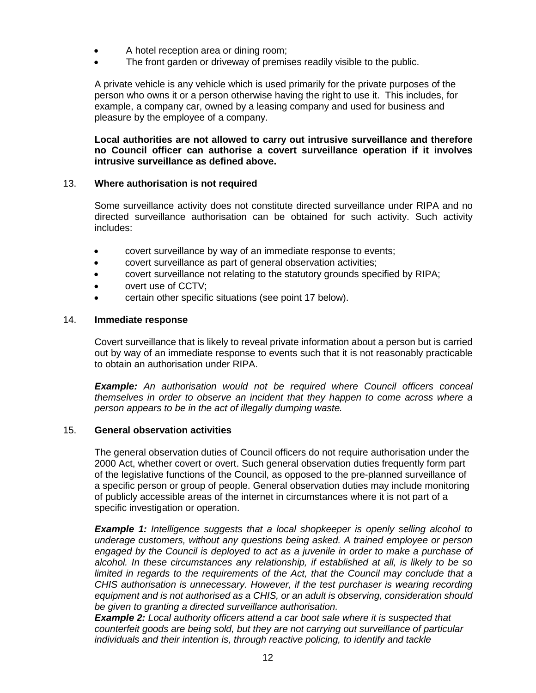- A hotel reception area or dining room;
- The front garden or driveway of premises readily visible to the public.

A private vehicle is any vehicle which is used primarily for the private purposes of the person who owns it or a person otherwise having the right to use it. This includes, for example, a company car, owned by a leasing company and used for business and pleasure by the employee of a company.

**Local authorities are not allowed to carry out intrusive surveillance and therefore no Council officer can authorise a covert surveillance operation if it involves intrusive surveillance as defined above.** 

## 13. **Where authorisation is not required**

Some surveillance activity does not constitute directed surveillance under RIPA and no directed surveillance authorisation can be obtained for such activity. Such activity includes:

- covert surveillance by way of an immediate response to events;
- covert surveillance as part of general observation activities;
- covert surveillance not relating to the statutory grounds specified by RIPA;
- overt use of CCTV;
- certain other specific situations (see point 17 below).

#### 14. **Immediate response**

Covert surveillance that is likely to reveal private information about a person but is carried out by way of an immediate response to events such that it is not reasonably practicable to obtain an authorisation under RIPA.

*Example: An authorisation would not be required where Council officers conceal themselves in order to observe an incident that they happen to come across where a person appears to be in the act of illegally dumping waste.* 

## 15. **General observation activities**

The general observation duties of Council officers do not require authorisation under the 2000 Act, whether covert or overt. Such general observation duties frequently form part of the legislative functions of the Council, as opposed to the pre-planned surveillance of a specific person or group of people. General observation duties may include monitoring of publicly accessible areas of the internet in circumstances where it is not part of a specific investigation or operation.

*Example 1: Intelligence suggests that a local shopkeeper is openly selling alcohol to underage customers, without any questions being asked. A trained employee or person engaged by the Council is deployed to act as a juvenile in order to make a purchase of alcohol. In these circumstances any relationship, if established at all, is likely to be so limited in regards to the requirements of the Act, that the Council may conclude that a CHIS authorisation is unnecessary. However, if the test purchaser is wearing recording equipment and is not authorised as a CHIS, or an adult is observing, consideration should be given to granting a directed surveillance authorisation.*

*Example 2: Local authority officers attend a car boot sale where it is suspected that counterfeit goods are being sold, but they are not carrying out surveillance of particular individuals and their intention is, through reactive policing, to identify and tackle*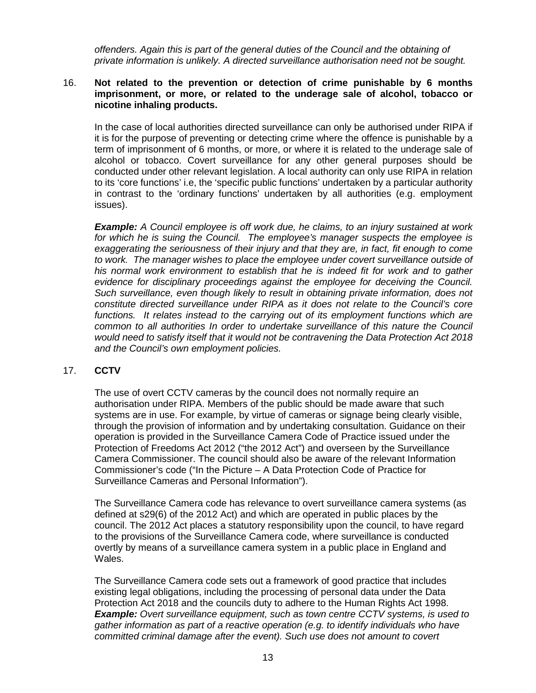*offenders. Again this is part of the general duties of the Council and the obtaining of private information is unlikely. A directed surveillance authorisation need not be sought.*

#### 16. **Not related to the prevention or detection of crime punishable by 6 months imprisonment, or more, or related to the underage sale of alcohol, tobacco or nicotine inhaling products.**

In the case of local authorities directed surveillance can only be authorised under RIPA if it is for the purpose of preventing or detecting crime where the offence is punishable by a term of imprisonment of 6 months, or more, or where it is related to the underage sale of alcohol or tobacco. Covert surveillance for any other general purposes should be conducted under other relevant legislation. A local authority can only use RIPA in relation to its 'core functions' i.e, the 'specific public functions' undertaken by a particular authority in contrast to the 'ordinary functions' undertaken by all authorities (e.g. employment issues).

*Example: A Council employee is off work due, he claims, to an injury sustained at work for which he is suing the Council. The employee's manager suspects the employee is exaggerating the seriousness of their injury and that they are, in fact, fit enough to come to work. The manager wishes to place the employee under covert surveillance outside of his normal work environment to establish that he is indeed fit for work and to gather evidence for disciplinary proceedings against the employee for deceiving the Council. Such surveillance, even though likely to result in obtaining private information, does not constitute directed surveillance under RIPA as it does not relate to the Council's core functions. It relates instead to the carrying out of its employment functions which are common to all authorities In order to undertake surveillance of this nature the Council would need to satisfy itself that it would not be contravening the Data Protection Act 2018 and the Council's own employment policies.*

#### 17. **CCTV**

The use of overt CCTV cameras by the council does not normally require an authorisation under RIPA. Members of the public should be made aware that such systems are in use. For example, by virtue of cameras or signage being clearly visible, through the provision of information and by undertaking consultation. Guidance on their operation is provided in the Surveillance Camera Code of Practice issued under the Protection of Freedoms Act 2012 ("the 2012 Act") and overseen by the Surveillance Camera Commissioner. The council should also be aware of the relevant Information Commissioner's code ("In the Picture – A Data Protection Code of Practice for Surveillance Cameras and Personal Information").

The Surveillance Camera code has relevance to overt surveillance camera systems (as defined at s29(6) of the 2012 Act) and which are operated in public places by the council. The 2012 Act places a statutory responsibility upon the council, to have regard to the provisions of the Surveillance Camera code, where surveillance is conducted overtly by means of a surveillance camera system in a public place in England and Wales.

The Surveillance Camera code sets out a framework of good practice that includes existing legal obligations, including the processing of personal data under the Data Protection Act 2018 and the councils duty to adhere to the Human Rights Act 1998. *Example: Overt surveillance equipment, such as town centre CCTV systems, is used to gather information as part of a reactive operation (e.g. to identify individuals who have committed criminal damage after the event). Such use does not amount to covert*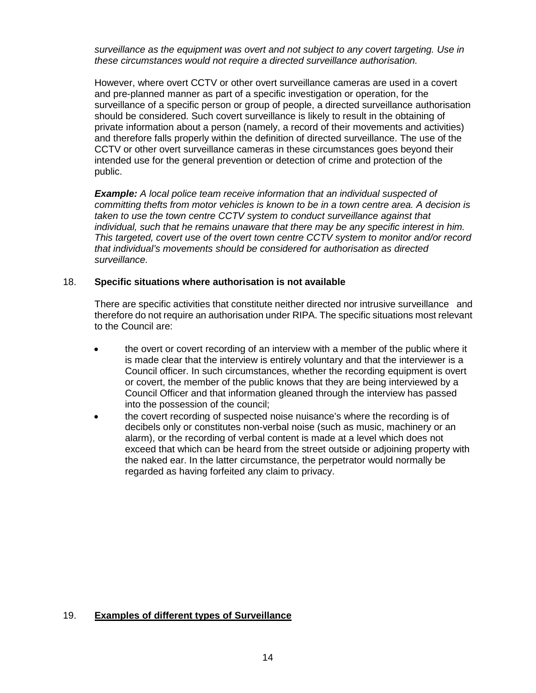*surveillance as the equipment was overt and not subject to any covert targeting. Use in these circumstances would not require a directed surveillance authorisation.*

However, where overt CCTV or other overt surveillance cameras are used in a covert and pre-planned manner as part of a specific investigation or operation, for the surveillance of a specific person or group of people, a directed surveillance authorisation should be considered. Such covert surveillance is likely to result in the obtaining of private information about a person (namely, a record of their movements and activities) and therefore falls properly within the definition of directed surveillance. The use of the CCTV or other overt surveillance cameras in these circumstances goes beyond their intended use for the general prevention or detection of crime and protection of the public.

*Example: A local police team receive information that an individual suspected of committing thefts from motor vehicles is known to be in a town centre area. A decision is taken to use the town centre CCTV system to conduct surveillance against that individual, such that he remains unaware that there may be any specific interest in him. This targeted, covert use of the overt town centre CCTV system to monitor and/or record that individual's movements should be considered for authorisation as directed surveillance.*

#### 18. **Specific situations where authorisation is not available**

There are specific activities that constitute neither directed nor intrusive surveillance and therefore do not require an authorisation under RIPA. The specific situations most relevant to the Council are:

- the overt or covert recording of an interview with a member of the public where it is made clear that the interview is entirely voluntary and that the interviewer is a Council officer. In such circumstances, whether the recording equipment is overt or covert, the member of the public knows that they are being interviewed by a Council Officer and that information gleaned through the interview has passed into the possession of the council;
- the covert recording of suspected noise nuisance's where the recording is of decibels only or constitutes non-verbal noise (such as music, machinery or an alarm), or the recording of verbal content is made at a level which does not exceed that which can be heard from the street outside or adjoining property with the naked ear. In the latter circumstance, the perpetrator would normally be regarded as having forfeited any claim to privacy.

## 19. **Examples of different types of Surveillance**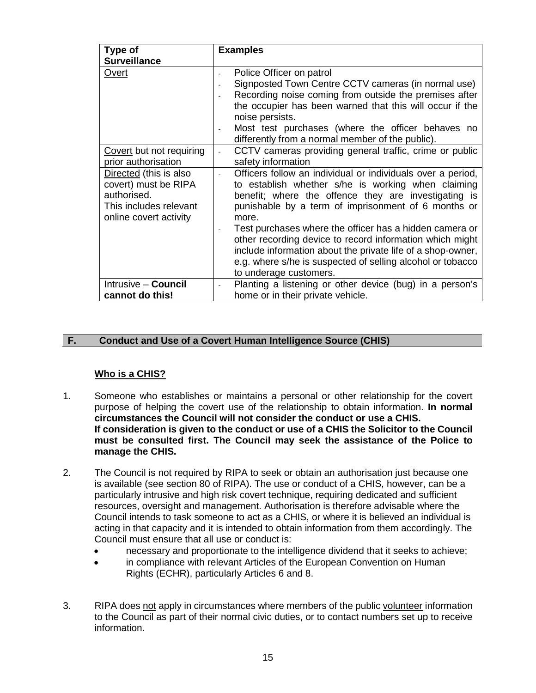| Type of                                                                                                           | <b>Examples</b>                                                                                                                                                                                                                                                                                                                                                                                                                                                                                                         |
|-------------------------------------------------------------------------------------------------------------------|-------------------------------------------------------------------------------------------------------------------------------------------------------------------------------------------------------------------------------------------------------------------------------------------------------------------------------------------------------------------------------------------------------------------------------------------------------------------------------------------------------------------------|
| <b>Surveillance</b>                                                                                               |                                                                                                                                                                                                                                                                                                                                                                                                                                                                                                                         |
| <b>Overt</b>                                                                                                      | Police Officer on patrol<br>$\overline{\phantom{a}}$<br>Signposted Town Centre CCTV cameras (in normal use)<br>$\overline{\phantom{a}}$<br>Recording noise coming from outside the premises after<br>the occupier has been warned that this will occur if the<br>noise persists.<br>Most test purchases (where the officer behaves no<br>differently from a normal member of the public).                                                                                                                               |
| Covert but not requiring<br>prior authorisation                                                                   | CCTV cameras providing general traffic, crime or public<br>safety information                                                                                                                                                                                                                                                                                                                                                                                                                                           |
| Directed (this is also<br>covert) must be RIPA<br>authorised.<br>This includes relevant<br>online covert activity | Officers follow an individual or individuals over a period,<br>to establish whether s/he is working when claiming<br>benefit; where the offence they are investigating is<br>punishable by a term of imprisonment of 6 months or<br>more.<br>Test purchases where the officer has a hidden camera or<br>other recording device to record information which might<br>include information about the private life of a shop-owner,<br>e.g. where s/he is suspected of selling alcohol or tobacco<br>to underage customers. |
| Intrusive - Council<br>cannot do this!                                                                            | Planting a listening or other device (bug) in a person's<br>$\overline{\phantom{a}}$<br>home or in their private vehicle.                                                                                                                                                                                                                                                                                                                                                                                               |

## **F. Conduct and Use of a Covert Human Intelligence Source (CHIS)**

## **Who is a CHIS?**

- 1. Someone who establishes or maintains a personal or other relationship for the covert purpose of helping the covert use of the relationship to obtain information. **In normal circumstances the Council will not consider the conduct or use a CHIS. If consideration is given to the conduct or use of a CHIS the Solicitor to the Council must be consulted first. The Council may seek the assistance of the Police to manage the CHIS.**
- 2. The Council is not required by RIPA to seek or obtain an authorisation just because one is available (see section 80 of RIPA). The use or conduct of a CHIS, however, can be a particularly intrusive and high risk covert technique, requiring dedicated and sufficient resources, oversight and management. Authorisation is therefore advisable where the Council intends to task someone to act as a CHIS, or where it is believed an individual is acting in that capacity and it is intended to obtain information from them accordingly. The Council must ensure that all use or conduct is:
	- necessary and proportionate to the intelligence dividend that it seeks to achieve;
	- in compliance with relevant Articles of the European Convention on Human Rights (ECHR), particularly Articles 6 and 8.
- 3. RIPA does not apply in circumstances where members of the public volunteer information to the Council as part of their normal civic duties, or to contact numbers set up to receive information.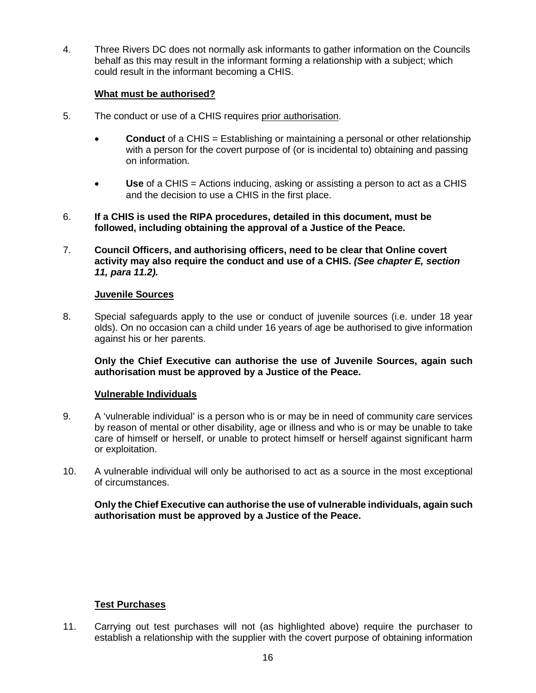4. Three Rivers DC does not normally ask informants to gather information on the Councils behalf as this may result in the informant forming a relationship with a subject; which could result in the informant becoming a CHIS.

# **What must be authorised?**

- 5. The conduct or use of a CHIS requires prior authorisation.
	- **Conduct** of a CHIS = Establishing or maintaining a personal or other relationship with a person for the covert purpose of (or is incidental to) obtaining and passing on information.
	- **Use** of a CHIS = Actions inducing, asking or assisting a person to act as a CHIS and the decision to use a CHIS in the first place.
- 6. **If a CHIS is used the RIPA procedures, detailed in this document, must be followed, including obtaining the approval of a Justice of the Peace.**
- 7. **Council Officers, and authorising officers, need to be clear that Online covert activity may also require the conduct and use of a CHIS.** *(See chapter E, section 11, para 11.2).*

## **Juvenile Sources**

8. Special safeguards apply to the use or conduct of juvenile sources (i.e. under 18 year olds). On no occasion can a child under 16 years of age be authorised to give information against his or her parents.

**Only the Chief Executive can authorise the use of Juvenile Sources, again such authorisation must be approved by a Justice of the Peace.**

## **Vulnerable Individuals**

- 9. A 'vulnerable individual' is a person who is or may be in need of community care services by reason of mental or other disability, age or illness and who is or may be unable to take care of himself or herself, or unable to protect himself or herself against significant harm or exploitation.
- 10. A vulnerable individual will only be authorised to act as a source in the most exceptional of circumstances.

**Only the Chief Executive can authorise the use of vulnerable individuals, again such authorisation must be approved by a Justice of the Peace.** 

## **Test Purchases**

11. Carrying out test purchases will not (as highlighted above) require the purchaser to establish a relationship with the supplier with the covert purpose of obtaining information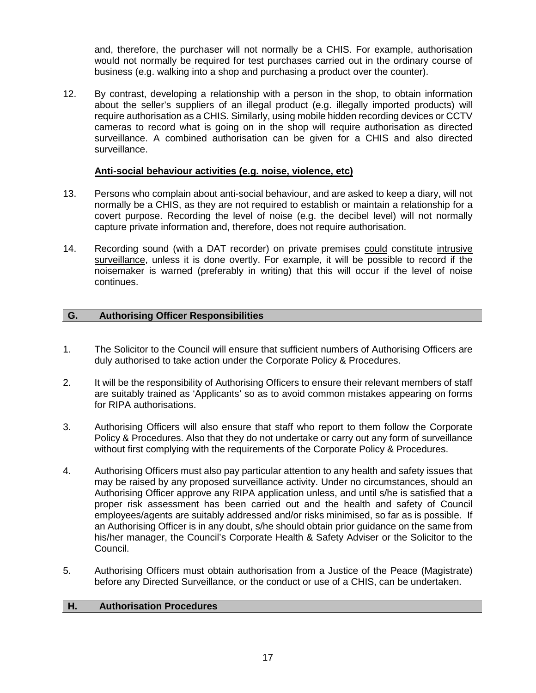and, therefore, the purchaser will not normally be a CHIS. For example, authorisation would not normally be required for test purchases carried out in the ordinary course of business (e.g. walking into a shop and purchasing a product over the counter).

12. By contrast, developing a relationship with a person in the shop, to obtain information about the seller's suppliers of an illegal product (e.g. illegally imported products) will require authorisation as a CHIS. Similarly, using mobile hidden recording devices or CCTV cameras to record what is going on in the shop will require authorisation as directed surveillance. A combined authorisation can be given for a CHIS and also directed surveillance.

#### **Anti-social behaviour activities (e.g. noise, violence, etc)**

- 13. Persons who complain about anti-social behaviour, and are asked to keep a diary, will not normally be a CHIS, as they are not required to establish or maintain a relationship for a covert purpose. Recording the level of noise (e.g. the decibel level) will not normally capture private information and, therefore, does not require authorisation.
- 14. Recording sound (with a DAT recorder) on private premises could constitute intrusive surveillance, unless it is done overtly. For example, it will be possible to record if the noisemaker is warned (preferably in writing) that this will occur if the level of noise continues.

#### **G. Authorising Officer Responsibilities**

- 1. The Solicitor to the Council will ensure that sufficient numbers of Authorising Officers are duly authorised to take action under the Corporate Policy & Procedures.
- 2. It will be the responsibility of Authorising Officers to ensure their relevant members of staff are suitably trained as 'Applicants' so as to avoid common mistakes appearing on forms for RIPA authorisations.
- 3. Authorising Officers will also ensure that staff who report to them follow the Corporate Policy & Procedures. Also that they do not undertake or carry out any form of surveillance without first complying with the requirements of the Corporate Policy & Procedures.
- 4. Authorising Officers must also pay particular attention to any health and safety issues that may be raised by any proposed surveillance activity. Under no circumstances, should an Authorising Officer approve any RIPA application unless, and until s/he is satisfied that a proper risk assessment has been carried out and the health and safety of Council employees/agents are suitably addressed and/or risks minimised, so far as is possible. If an Authorising Officer is in any doubt, s/he should obtain prior guidance on the same from his/her manager, the Council's Corporate Health & Safety Adviser or the Solicitor to the Council.
- 5. Authorising Officers must obtain authorisation from a Justice of the Peace (Magistrate) before any Directed Surveillance, or the conduct or use of a CHIS, can be undertaken.

# **H. Authorisation Procedures**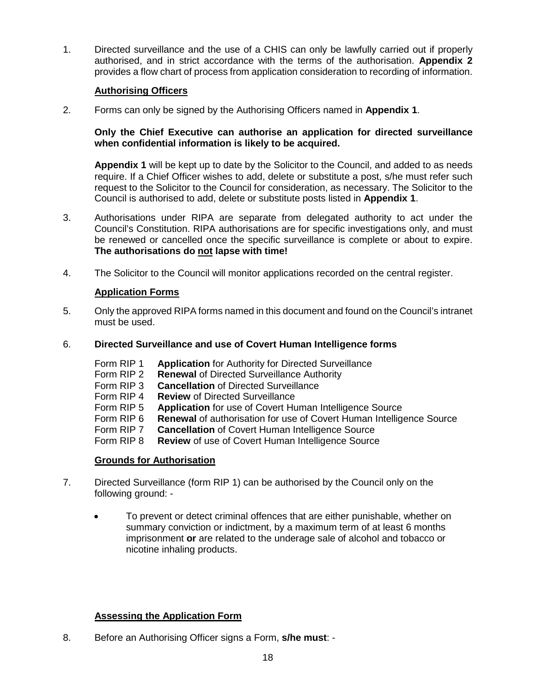1. Directed surveillance and the use of a CHIS can only be lawfully carried out if properly authorised, and in strict accordance with the terms of the authorisation. **Appendix 2**  provides a flow chart of process from application consideration to recording of information.

## **Authorising Officers**

2. Forms can only be signed by the Authorising Officers named in **Appendix 1**.

## **Only the Chief Executive can authorise an application for directed surveillance when confidential information is likely to be acquired.**

**Appendix 1** will be kept up to date by the Solicitor to the Council, and added to as needs require. If a Chief Officer wishes to add, delete or substitute a post, s/he must refer such request to the Solicitor to the Council for consideration, as necessary. The Solicitor to the Council is authorised to add, delete or substitute posts listed in **Appendix 1**.

- 3. Authorisations under RIPA are separate from delegated authority to act under the Council's Constitution. RIPA authorisations are for specific investigations only, and must be renewed or cancelled once the specific surveillance is complete or about to expire. **The authorisations do not lapse with time!**
- 4. The Solicitor to the Council will monitor applications recorded on the central register.

## **Application Forms**

5. Only the approved RIPA forms named in this document and found on the Council's intranet must be used.

#### 6. **Directed Surveillance and use of Covert Human Intelligence forms**

- Form RIP 1 **Application** for Authority for Directed Surveillance
- Form RIP 2 **Renewal** of Directed Surveillance Authority<br>Form RIP 3 **Cancellation** of Directed Surveillance
- Form RIP 3 **Cancellation** of Directed Surveillance<br>Form RIP 4 **Review** of Directed Surveillance
- **Form RIP 4 Review of Directed Surveillance**<br>Form RIP 5 Application for use of Covert Hu
- Form RIP 5 **Application** for use of Covert Human Intelligence Source
- Form RIP 6 **Renewal** of authorisation for use of Covert Human Intelligence Source<br>Form RIP 7 **Cancellation** of Covert Human Intelligence Source
- Form RIP 7 **Cancellation** of Covert Human Intelligence Source<br>Form RIP 8 **Review** of use of Covert Human Intelligence Source
- **Review** of use of Covert Human Intelligence Source

## **Grounds for Authorisation**

- 7. Directed Surveillance (form RIP 1) can be authorised by the Council only on the following ground: -
	- To prevent or detect criminal offences that are either punishable, whether on summary conviction or indictment, by a maximum term of at least 6 months imprisonment **or** are related to the underage sale of alcohol and tobacco or nicotine inhaling products.

## **Assessing the Application Form**

8. Before an Authorising Officer signs a Form, **s/he must**: -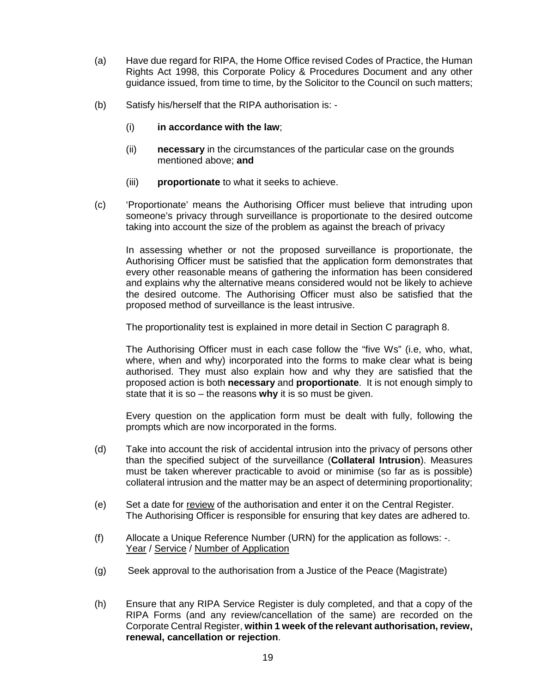- (a) Have due regard for RIPA, the Home Office revised Codes of Practice, the Human Rights Act 1998, this Corporate Policy & Procedures Document and any other guidance issued, from time to time, by the Solicitor to the Council on such matters;
- (b) Satisfy his/herself that the RIPA authorisation is:
	- (i) **in accordance with the law**;
	- (ii) **necessary** in the circumstances of the particular case on the grounds mentioned above; **and**
	- (iii) **proportionate** to what it seeks to achieve.
- (c) 'Proportionate' means the Authorising Officer must believe that intruding upon someone's privacy through surveillance is proportionate to the desired outcome taking into account the size of the problem as against the breach of privacy

In assessing whether or not the proposed surveillance is proportionate, the Authorising Officer must be satisfied that the application form demonstrates that every other reasonable means of gathering the information has been considered and explains why the alternative means considered would not be likely to achieve the desired outcome. The Authorising Officer must also be satisfied that the proposed method of surveillance is the least intrusive.

The proportionality test is explained in more detail in Section C paragraph 8.

The Authorising Officer must in each case follow the "five Ws" (i.e, who, what, where, when and why) incorporated into the forms to make clear what is being authorised. They must also explain how and why they are satisfied that the proposed action is both **necessary** and **proportionate**. It is not enough simply to state that it is so – the reasons **why** it is so must be given.

Every question on the application form must be dealt with fully, following the prompts which are now incorporated in the forms.

- (d) Take into account the risk of accidental intrusion into the privacy of persons other than the specified subject of the surveillance (**Collateral Intrusion**). Measures must be taken wherever practicable to avoid or minimise (so far as is possible) collateral intrusion and the matter may be an aspect of determining proportionality;
- (e) Set a date for review of the authorisation and enter it on the Central Register. The Authorising Officer is responsible for ensuring that key dates are adhered to.
- (f) Allocate a Unique Reference Number (URN) for the application as follows: -. Year / Service / Number of Application
- (g) Seek approval to the authorisation from a Justice of the Peace (Magistrate)
- (h) Ensure that any RIPA Service Register is duly completed, and that a copy of the RIPA Forms (and any review/cancellation of the same) are recorded on the Corporate Central Register, **within 1 week of the relevant authorisation, review, renewal, cancellation or rejection**.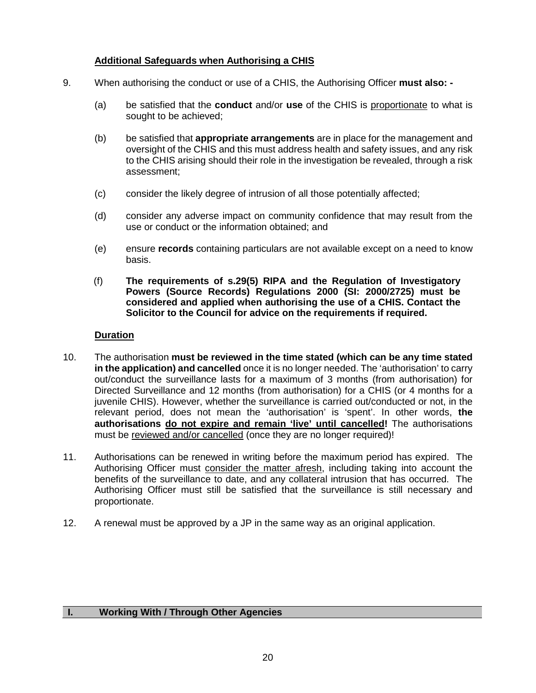# **Additional Safeguards when Authorising a CHIS**

- 9. When authorising the conduct or use of a CHIS, the Authorising Officer **must also: -**
	- (a) be satisfied that the **conduct** and/or **use** of the CHIS is proportionate to what is sought to be achieved;
	- (b) be satisfied that **appropriate arrangements** are in place for the management and oversight of the CHIS and this must address health and safety issues, and any risk to the CHIS arising should their role in the investigation be revealed, through a risk assessment;
	- (c) consider the likely degree of intrusion of all those potentially affected;
	- (d) consider any adverse impact on community confidence that may result from the use or conduct or the information obtained; and
	- (e) ensure **records** containing particulars are not available except on a need to know basis.
	- (f) **The requirements of s.29(5) RIPA and the Regulation of Investigatory Powers (Source Records) Regulations 2000 (SI: 2000/2725) must be considered and applied when authorising the use of a CHIS. Contact the Solicitor to the Council for advice on the requirements if required.**

## **Duration**

- 10. The authorisation **must be reviewed in the time stated (which can be any time stated in the application) and cancelled** once it is no longer needed. The 'authorisation' to carry out/conduct the surveillance lasts for a maximum of 3 months (from authorisation) for Directed Surveillance and 12 months (from authorisation) for a CHIS (or 4 months for a juvenile CHIS). However, whether the surveillance is carried out/conducted or not, in the relevant period, does not mean the 'authorisation' is 'spent'. In other words, **the authorisations do not expire and remain 'live' until cancelled!** The authorisations must be reviewed and/or cancelled (once they are no longer required)!
- 11. Authorisations can be renewed in writing before the maximum period has expired. The Authorising Officer must consider the matter afresh, including taking into account the benefits of the surveillance to date, and any collateral intrusion that has occurred. The Authorising Officer must still be satisfied that the surveillance is still necessary and proportionate.
- 12. A renewal must be approved by a JP in the same way as an original application.

#### **I. Working With / Through Other Agencies**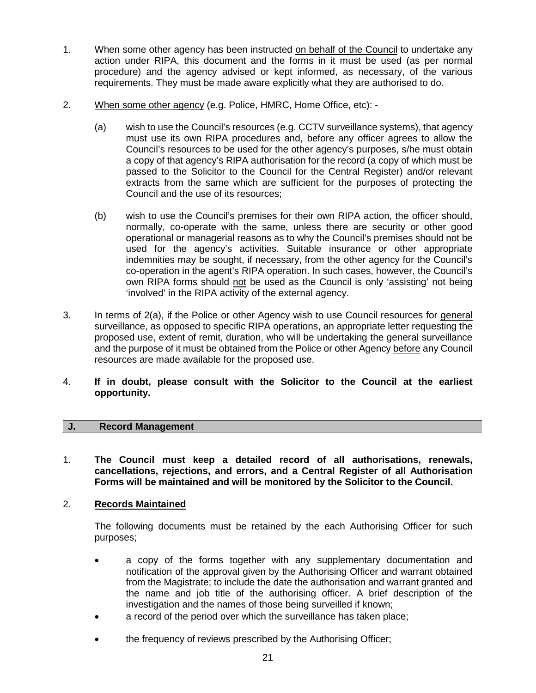- 1. When some other agency has been instructed on behalf of the Council to undertake any action under RIPA, this document and the forms in it must be used (as per normal procedure) and the agency advised or kept informed, as necessary, of the various requirements. They must be made aware explicitly what they are authorised to do.
- 2. When some other agency (e.g. Police, HMRC, Home Office, etc): -
	- (a) wish to use the Council's resources (e.g. CCTV surveillance systems), that agency must use its own RIPA procedures and, before any officer agrees to allow the Council's resources to be used for the other agency's purposes, s/he must obtain a copy of that agency's RIPA authorisation for the record (a copy of which must be passed to the Solicitor to the Council for the Central Register) and/or relevant extracts from the same which are sufficient for the purposes of protecting the Council and the use of its resources;
	- (b) wish to use the Council's premises for their own RIPA action, the officer should, normally, co-operate with the same, unless there are security or other good operational or managerial reasons as to why the Council's premises should not be used for the agency's activities. Suitable insurance or other appropriate indemnities may be sought, if necessary, from the other agency for the Council's co-operation in the agent's RIPA operation. In such cases, however, the Council's own RIPA forms should not be used as the Council is only 'assisting' not being 'involved' in the RIPA activity of the external agency.
- 3. In terms of 2(a), if the Police or other Agency wish to use Council resources for general surveillance, as opposed to specific RIPA operations, an appropriate letter requesting the proposed use, extent of remit, duration, who will be undertaking the general surveillance and the purpose of it must be obtained from the Police or other Agency before any Council resources are made available for the proposed use.
- 4. **If in doubt, please consult with the Solicitor to the Council at the earliest opportunity.**

## **J. Record Management**

1. **The Council must keep a detailed record of all authorisations, renewals, cancellations, rejections, and errors, and a Central Register of all Authorisation Forms will be maintained and will be monitored by the Solicitor to the Council.**

# 2*.* **Records Maintained**

The following documents must be retained by the each Authorising Officer for such purposes;

- a copy of the forms together with any supplementary documentation and notification of the approval given by the Authorising Officer and warrant obtained from the Magistrate; to include the date the authorisation and warrant granted and the name and job title of the authorising officer. A brief description of the investigation and the names of those being surveilled if known;
- a record of the period over which the surveillance has taken place;
- the frequency of reviews prescribed by the Authorising Officer;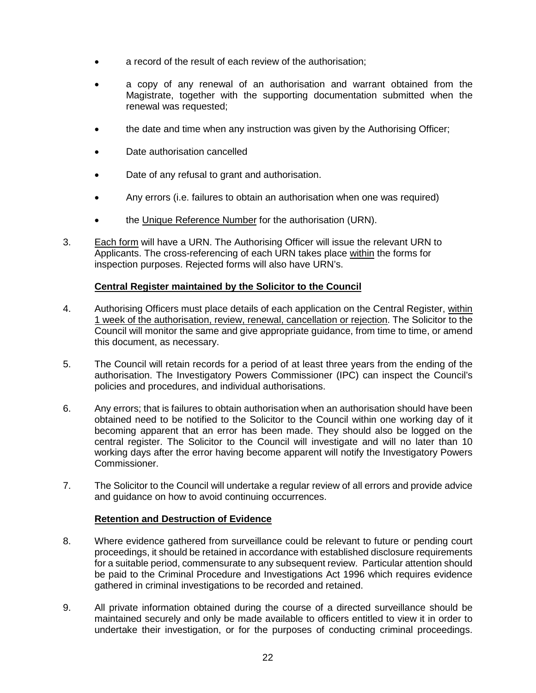- a record of the result of each review of the authorisation;
- a copy of any renewal of an authorisation and warrant obtained from the Magistrate, together with the supporting documentation submitted when the renewal was requested;
- the date and time when any instruction was given by the Authorising Officer;
- Date authorisation cancelled
- Date of any refusal to grant and authorisation.
- Any errors (i.e. failures to obtain an authorisation when one was required)
- the Unique Reference Number for the authorisation (URN).
- 3. Each form will have a URN. The Authorising Officer will issue the relevant URN to Applicants. The cross-referencing of each URN takes place within the forms for inspection purposes. Rejected forms will also have URN's.

# **Central Register maintained by the Solicitor to the Council**

- 4. Authorising Officers must place details of each application on the Central Register, within 1 week of the authorisation, review, renewal, cancellation or rejection. The Solicitor to the Council will monitor the same and give appropriate guidance, from time to time, or amend this document, as necessary.
- 5. The Council will retain records for a period of at least three years from the ending of the authorisation. The Investigatory Powers Commissioner (IPC) can inspect the Council's policies and procedures, and individual authorisations.
- 6. Any errors; that is failures to obtain authorisation when an authorisation should have been obtained need to be notified to the Solicitor to the Council within one working day of it becoming apparent that an error has been made. They should also be logged on the central register. The Solicitor to the Council will investigate and will no later than 10 working days after the error having become apparent will notify the Investigatory Powers Commissioner.
- 7. The Solicitor to the Council will undertake a regular review of all errors and provide advice and guidance on how to avoid continuing occurrences.

## **Retention and Destruction of Evidence**

- 8. Where evidence gathered from surveillance could be relevant to future or pending court proceedings, it should be retained in accordance with established disclosure requirements for a suitable period, commensurate to any subsequent review. Particular attention should be paid to the Criminal Procedure and Investigations Act 1996 which requires evidence gathered in criminal investigations to be recorded and retained.
- 9. All private information obtained during the course of a directed surveillance should be maintained securely and only be made available to officers entitled to view it in order to undertake their investigation, or for the purposes of conducting criminal proceedings.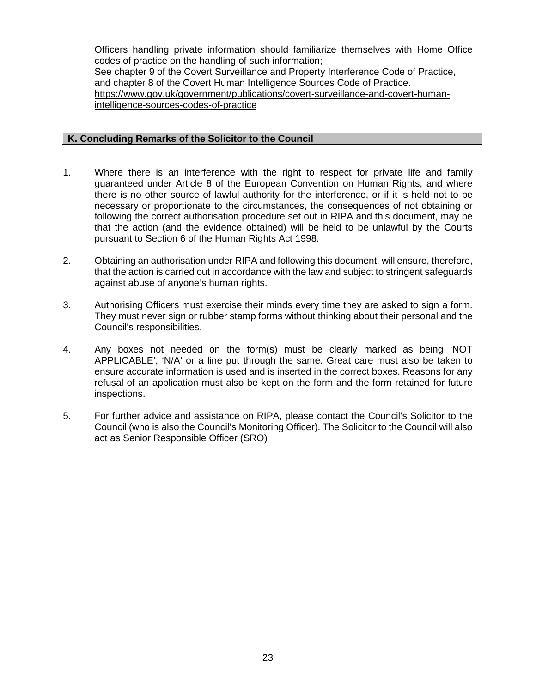Officers handling private information should familiarize themselves with Home Office codes of practice on the handling of such information; See chapter 9 of the Covert Surveillance and Property Interference Code of Practice, and chapter 8 of the Covert Human Intelligence Sources Code of Practice. [https://www.gov.uk/government/publications/covert-surveillance-and-covert-human](https://www.gov.uk/government/publications/covert-surveillance-and-covert-human-intelligence-sources-codes-of-practice)[intelligence-sources-codes-of-practice](https://www.gov.uk/government/publications/covert-surveillance-and-covert-human-intelligence-sources-codes-of-practice)

#### **K. Concluding Remarks of the Solicitor to the Council**

- 1. Where there is an interference with the right to respect for private life and family guaranteed under Article 8 of the European Convention on Human Rights, and where there is no other source of lawful authority for the interference, or if it is held not to be necessary or proportionate to the circumstances, the consequences of not obtaining or following the correct authorisation procedure set out in RIPA and this document, may be that the action (and the evidence obtained) will be held to be unlawful by the Courts pursuant to Section 6 of the Human Rights Act 1998.
- 2. Obtaining an authorisation under RIPA and following this document, will ensure, therefore, that the action is carried out in accordance with the law and subject to stringent safeguards against abuse of anyone's human rights.
- 3. Authorising Officers must exercise their minds every time they are asked to sign a form. They must never sign or rubber stamp forms without thinking about their personal and the Council's responsibilities.
- 4. Any boxes not needed on the form(s) must be clearly marked as being 'NOT APPLICABLE', 'N/A' or a line put through the same. Great care must also be taken to ensure accurate information is used and is inserted in the correct boxes. Reasons for any refusal of an application must also be kept on the form and the form retained for future inspections.
- 5. For further advice and assistance on RIPA, please contact the Council's Solicitor to the Council (who is also the Council's Monitoring Officer). The Solicitor to the Council will also act as Senior Responsible Officer (SRO)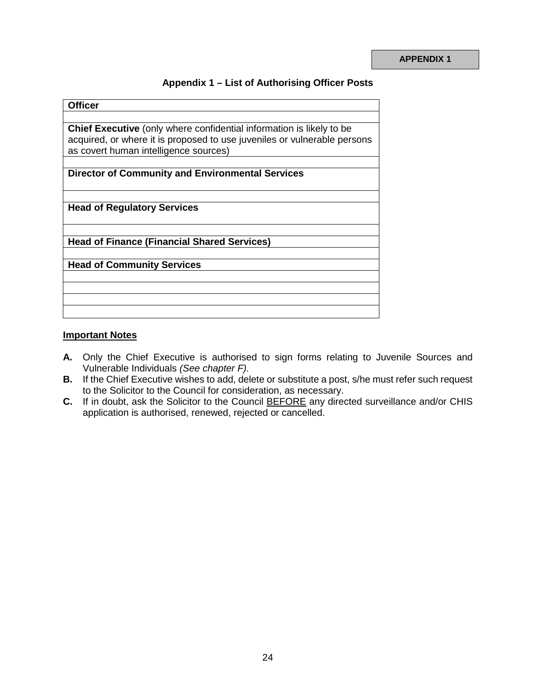# **Appendix 1 – List of Authorising Officer Posts**

| <b>Officer</b>                                                              |  |  |
|-----------------------------------------------------------------------------|--|--|
|                                                                             |  |  |
| <b>Chief Executive</b> (only where confidential information is likely to be |  |  |
| acquired, or where it is proposed to use juveniles or vulnerable persons    |  |  |
| as covert human intelligence sources)                                       |  |  |
|                                                                             |  |  |
| <b>Director of Community and Environmental Services</b>                     |  |  |
|                                                                             |  |  |
|                                                                             |  |  |
| <b>Head of Regulatory Services</b>                                          |  |  |
|                                                                             |  |  |
|                                                                             |  |  |
| <b>Head of Finance (Financial Shared Services)</b>                          |  |  |
|                                                                             |  |  |
| <b>Head of Community Services</b>                                           |  |  |
|                                                                             |  |  |
|                                                                             |  |  |
|                                                                             |  |  |
|                                                                             |  |  |

#### **Important Notes**

- **A.** Only the Chief Executive is authorised to sign forms relating to Juvenile Sources and Vulnerable Individuals *(See chapter F).*
- **B.** If the Chief Executive wishes to add, delete or substitute a post, s/he must refer such request to the Solicitor to the Council for consideration, as necessary.
- **C.** If in doubt, ask the Solicitor to the Council BEFORE any directed surveillance and/or CHIS application is authorised, renewed, rejected or cancelled.